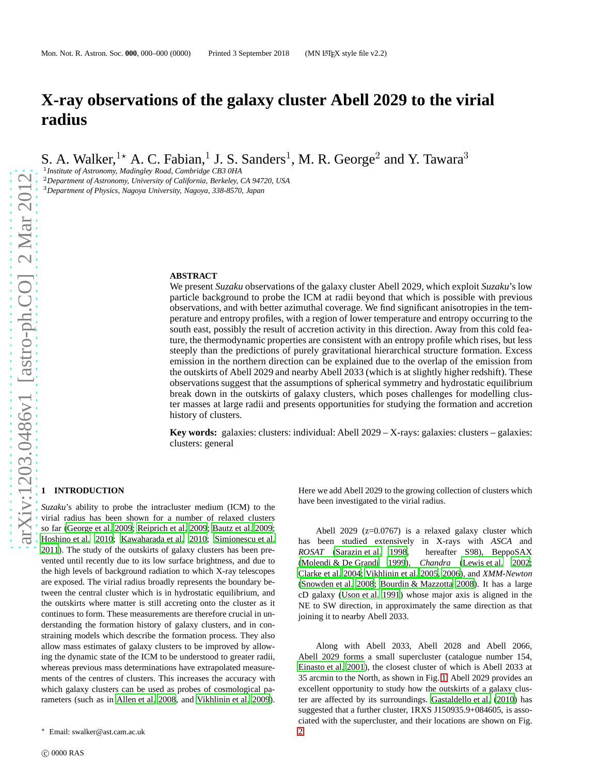# **X-ray observations of the galaxy cluster Abell 2029 to the virial radius**

S. A. Walker, <sup>1\*</sup> A. C. Fabian, <sup>1</sup> J. S. Sanders<sup>1</sup>, M. R. George<sup>2</sup> and Y. Tawara<sup>3</sup>

1 *Institute of Astronomy, Madingley Road, Cambridge CB3 0HA*

<sup>2</sup>*Department of Astronomy, University of California, Berkeley, CA 94720, USA* <sup>3</sup>*Department of Physics, Nagoya University, Nagoya, 338-8570, Japan*

#### **ABSTRACT**

We present *Suzaku* observations of the galaxy cluster Abell 2029, which exploit *Suzaku*'s low particle background to probe the ICM at radii beyond that which is possible with previous observations, and with better azimuthal coverage. We find significant anisotropies in the temperature and entropy profiles, with a region of lower temperature and entropy occurring to the south east, possibly the result of accretion activity in this direction. Away from this cold feature, the thermodynamic properties are consistent with an entropy profile which rises, but less steeply than the predictions of purely gravitational hierarchical structure formation. Excess emission in the northern direction can be explained due to the overlap of the emission from the outskirts of Abell 2029 and nearby Abell 2033 (which is at slightly higher redshift). These observations suggest that the assumptions of spherical symmetry and hydrostatic equilibrium break down in the outskirts of galaxy clusters, which poses challenges for modelling cluster masses at large radii and presents opportunities for studying the formation and accretion history of clusters.

**Key words:** galaxies: clusters: individual: Abell 2029 – X-rays: galaxies: clusters – galaxies: clusters: general

## **1 INTRODUCTION**

*Suzaku*'s ability to probe the intracluster medium (ICM) to the virial radius has been shown for a number of relaxed clusters so far [\(George et al. 2009](#page-11-0); [Reiprich et al. 2009](#page-11-1); [Bautz et al. 2009;](#page-10-0) [Hoshino et al. 2010;](#page-11-2) [Kawaharada et al. 2010](#page-11-3); [Simionescu et al.](#page-11-4) [2011](#page-11-4)). The study of the outskirts of galaxy clusters has been prevented until recently due to its low surface brightness, and due to the high levels of background radiation to which X-ray telescopes are exposed. The virial radius broadly represents the boundary between the central cluster which is in hydrostatic equilibrium, and the outskirts where matter is still accreting onto the cluster as it continues to form. These measurements are therefore crucial in understanding the formation history of galaxy clusters, and in constraining models which describe the formation process. They also allow mass estimates of galaxy clusters to be improved by allowing the dynamic state of the ICM to be understood to greater radii, whereas previous mass determinations have extrapolated measurements of the centres of clusters. This increases the accuracy with which galaxy clusters can be used as probes of cosmological parameters (such as in [Allen et al. 2008](#page-10-1), and [Vikhlinin et al. 2009](#page-11-5)).

Here we add Abell 2029 to the growing collection of clusters which have been investigated to the virial radius.

Abell 2029 ( $z=0.0767$ ) is a relaxed galaxy cluster which has been studied extensively in X-rays with *ASCA* and *ROSAT* [\(Sarazin et al. 1998](#page-11-6), hereafter S98), BeppoSAX [\(Molendi & De Grandi 1999\)](#page-11-7), *Chandra* [\(Lewis et al. 2002;](#page-11-8) [Clarke et al. 2004](#page-10-2); [Vikhlinin et al. 2005,](#page-11-9) [2006](#page-11-10)), and *XMM-Newton* [\(Snowden et al. 2008](#page-11-11); [Bourdin & Mazzotta 2008\)](#page-10-3). It has a large cD galaxy [\(Uson et al. 1991](#page-11-12)) whose major axis is aligned in the NE to SW direction, in approximately the same direction as that joining it to nearby Abell 2033.

Along with Abell 2033, Abell 2028 and Abell 2066, Abell 2029 forms a small supercluster (catalogue number 154, [Einasto et al. 2001](#page-10-4)), the closest cluster of which is Abell 2033 at 35 arcmin to the North, as shown in Fig. [1.](#page-1-0) Abell 2029 provides an excellent opportunity to study how the outskirts of a galaxy cluster are affected by its surroundings. [Gastaldello et al. \(2010\)](#page-10-5) has suggested that a further cluster, 1RXS J150935.9+084605, is associated with the supercluster, and their locations are shown on Fig.

<sup>⋆</sup> Email: swalker@ast.cam.ac.uk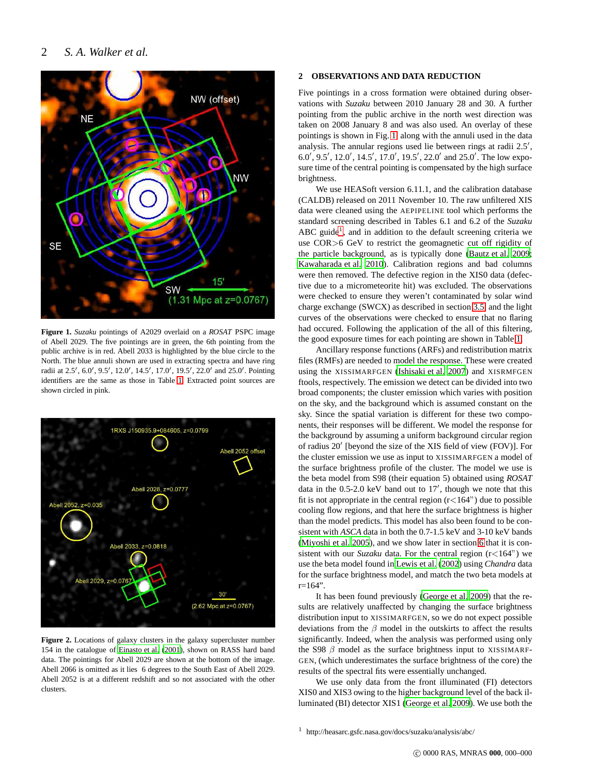

<span id="page-1-0"></span>**Figure 1.** *Suzaku* pointings of A2029 overlaid on a *ROSAT* PSPC image of Abell 2029. The five pointings are in green, the 6th pointing from the public archive is in red. Abell 2033 is highlighted by the blue circle to the North. The blue annuli shown are used in extracting spectra and have ring radii at 2.5', 6.0', 9.5', 12.0', 14.5', 17.0', 19.5', 22.0' and 25.0'. Pointing identifiers are the same as those in Table [1.](#page-2-0) Extracted point sources are shown circled in pink.



<span id="page-1-1"></span>**Figure 2.** Locations of galaxy clusters in the galaxy supercluster number 154 in the catalogue of [Einasto et al. \(2001](#page-10-4)), shown on RASS hard band data. The pointings for Abell 2029 are shown at the bottom of the image. Abell 2066 is omitted as it lies 6 degrees to the South East of Abell 2029. Abell 2052 is at a different redshift and so not associated with the other clusters.

## **2 OBSERVATIONS AND DATA REDUCTION**

Five pointings in a cross formation were obtained during observations with *Suzaku* between 2010 January 28 and 30. A further pointing from the public archive in the north west direction was taken on 2008 January 8 and was also used. An overlay of these pointings is shown in Fig. [1,](#page-1-0) along with the annuli used in the data analysis. The annular regions used lie between rings at radii 2.5′ , 6.0′ , 9.5′ , 12.0′ , 14.5′ , 17.0′ , 19.5′ , 22.0′ and 25.0′ . The low exposure time of the central pointing is compensated by the high surface brightness.

We use HEASoft version 6.11.1, and the calibration database (CALDB) released on 2011 November 10. The raw unfiltered XIS data were cleaned using the AEPIPELINE tool which performs the standard screening described in Tables 6.1 and 6.2 of the *Suzaku* ABC guide<sup>[1](#page-1-2)</sup>, and in addition to the default screening criteria we use COR>6 GeV to restrict the geomagnetic cut off rigidity of the particle background, as is typically done [\(Bautz et al. 2009;](#page-10-0) [Kawaharada et al. 2010](#page-11-3)). Calibration regions and bad columns were then removed. The defective region in the XIS0 data (defective due to a micrometeorite hit) was excluded. The observations were checked to ensure they weren't contaminated by solar wind charge exchange (SWCX) as described in section [3.5,](#page-3-0) and the light curves of the observations were checked to ensure that no flaring had occured. Following the application of the all of this filtering, the good exposure times for each pointing are shown in Table [1.](#page-2-0)

Ancillary response functions (ARFs) and redistribution matrix files (RMFs) are needed to model the response. These were created using the XISSIMARFGEN [\(Ishisaki et al. 2007](#page-11-13)) and XISRMFGEN ftools, respectively. The emission we detect can be divided into two broad components; the cluster emission which varies with position on the sky, and the background which is assumed constant on the sky. Since the spatial variation is different for these two components, their responses will be different. We model the response for the background by assuming a uniform background circular region of radius 20′ [beyond the size of the XIS field of view (FOV)]. For the cluster emission we use as input to XISSIMARFGEN a model of the surface brightness profile of the cluster. The model we use is the beta model from S98 (their equation 5) obtained using *ROSAT* data in the 0.5-2.0 keV band out to 17′ , though we note that this fit is not appropriate in the central region  $(r<164)$  due to possible cooling flow regions, and that here the surface brightness is higher than the model predicts. This model has also been found to be consistent with *ASCA* data in both the 0.7-1.5 keV and 3-10 keV bands [\(Miyoshi et al. 2005](#page-11-14)), and we show later in section [6](#page-7-0) that it is consistent with our *Suzaku* data. For the central region (r<164") we use the beta model found in [Lewis et al. \(2002](#page-11-8)) using *Chandra* data for the surface brightness model, and match the two beta models at r=164".

It has been found previously [\(George et al. 2009\)](#page-11-0) that the results are relatively unaffected by changing the surface brightness distribution input to XISSIMARFGEN, so we do not expect possible deviations from the  $\beta$  model in the outskirts to affect the results significantly. Indeed, when the analysis was performed using only the S98  $\beta$  model as the surface brightness input to XISSIMARF-GEN, (which underestimates the surface brightness of the core) the results of the spectral fits were essentially unchanged.

We use only data from the front illuminated (FI) detectors XIS0 and XIS3 owing to the higher background level of the back illuminated (BI) detector XIS1 [\(George et al. 2009](#page-11-0)). We use both the

<span id="page-1-2"></span><sup>1</sup> http://heasarc.gsfc.nasa.gov/docs/suzaku/analysis/abc/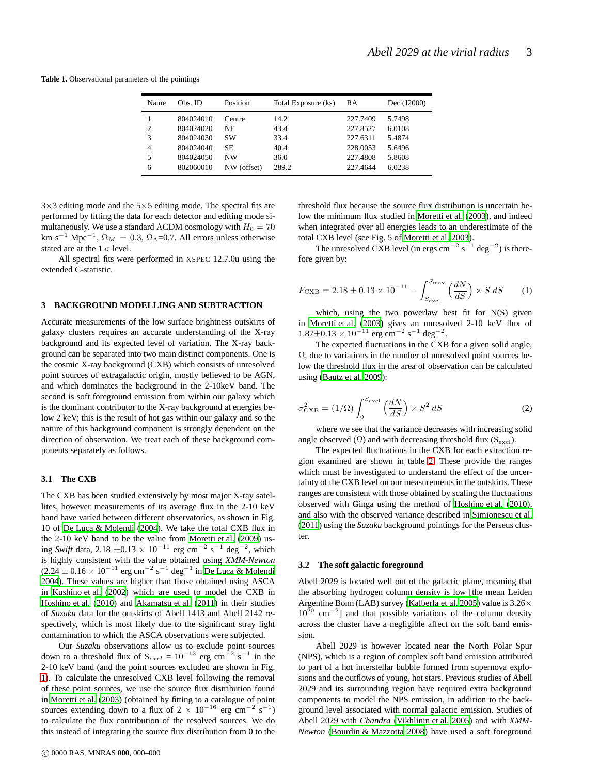<span id="page-2-0"></span>**Table 1.** Observational parameters of the pointings

| Name           | Obs. ID   | Position    | Total Exposure (ks) | RA       | Dec (J2000) |
|----------------|-----------|-------------|---------------------|----------|-------------|
|                | 804024010 | Centre      | 14.2                | 227.7409 | 5.7498      |
| $\overline{c}$ | 804024020 | NE          | 43.4                | 227.8527 | 6.0108      |
| 3              | 804024030 | <b>SW</b>   | 33.4                | 227.6311 | 5.4874      |
| 4              | 804024040 | <b>SE</b>   | 40.4                | 228,0053 | 5.6496      |
| 5              | 804024050 | <b>NW</b>   | 36.0                | 227.4808 | 5.8608      |
| 6              | 802060010 | NW (offset) | 289.2               | 227.4644 | 6.0238      |

 $3\times3$  editing mode and the  $5\times5$  editing mode. The spectral fits are performed by fitting the data for each detector and editing mode simultaneously. We use a standard  $\Lambda$ CDM cosmology with  $H_0 = 70$ km s<sup>-1</sup> Mpc<sup>-1</sup>,  $\Omega_M = 0.3$ ,  $\Omega_{\Lambda}$ =0.7. All errors unless otherwise stated are at the 1  $\sigma$  level.

All spectral fits were performed in XSPEC 12.7.0u using the extended C-statistic.

#### <span id="page-2-3"></span>**3 BACKGROUND MODELLING AND SUBTRACTION**

Accurate measurements of the low surface brightness outskirts of galaxy clusters requires an accurate understanding of the X-ray background and its expected level of variation. The X-ray background can be separated into two main distinct components. One is the cosmic X-ray background (CXB) which consists of unresolved point sources of extragalactic origin, mostly believed to be AGN, and which dominates the background in the 2-10keV band. The second is soft foreground emission from within our galaxy which is the dominant contributor to the X-ray background at energies below 2 keV; this is the result of hot gas within our galaxy and so the nature of this background component is strongly dependent on the direction of observation. We treat each of these background components separately as follows.

#### <span id="page-2-1"></span>**3.1 The CXB**

The CXB has been studied extensively by most major X-ray satellites, however measurements of its average flux in the 2-10 keV band have varied between different observatories, as shown in Fig. 10 of [De Luca & Molendi \(2004](#page-10-6)). We take the total CXB flux in the 2-10 keV band to be the value from [Moretti et al. \(2009](#page-11-15)) using *Swift* data, 2.18 ±0.13 × 10<sup>-11</sup> erg cm<sup>-2</sup> s<sup>-1</sup> deg<sup>-2</sup>, which is highly consistent with the value obtained using *XMM-Newton*  $(2.24 \pm 0.16 \times 10^{-11} \text{ erg cm}^{-2} \text{ s}^{-1} \text{ deg}^{-1} \text{ in De Luca & Molendi}$  $(2.24 \pm 0.16 \times 10^{-11} \text{ erg cm}^{-2} \text{ s}^{-1} \text{ deg}^{-1} \text{ in De Luca & Molendi}$  $(2.24 \pm 0.16 \times 10^{-11} \text{ erg cm}^{-2} \text{ s}^{-1} \text{ deg}^{-1} \text{ in De Luca & Molendi}$ [2004](#page-10-6)). These values are higher than those obtained using ASCA in [Kushino et al.](#page-11-16) [\(2002](#page-11-16)) which are used to model the CXB in [Hoshino et al.](#page-11-2) [\(2010](#page-11-2)) and [Akamatsu et al.](#page-10-7) [\(2011](#page-10-7)) in their studies of *Suzaku* data for the outskirts of Abell 1413 and Abell 2142 respectively, which is most likely due to the significant stray light contamination to which the ASCA observations were subjected.

Our *Suzaku* observations allow us to exclude point sources down to a threshold flux of  $S_{\text{excl}} = 10^{-13}$  erg cm<sup>-2</sup> s<sup>-1</sup> in the 2-10 keV band (and the point sources excluded are shown in Fig. [1\)](#page-1-0). To calculate the unresolved CXB level following the removal of these point sources, we use the source flux distribution found in [Moretti et al. \(2003\)](#page-11-17) (obtained by fitting to a catalogue of point sources extending down to a flux of  $2 \times 10^{-16}$  erg cm<sup>-2</sup> s<sup>-1</sup>) to calculate the flux contribution of the resolved sources. We do this instead of integrating the source flux distribution from 0 to the threshold flux because the source flux distribution is uncertain below the minimum flux studied in [Moretti et al. \(2003\)](#page-11-17), and indeed when integrated over all energies leads to an underestimate of the total CXB level (see Fig. 5 of [Moretti et al. 2003](#page-11-17)).

The unresolved CXB level (in ergs  $\text{cm}^{-2} \text{ s}^{-1} \text{ deg}^{-2}$ ) is therefore given by:

$$
F_{\text{CXB}} = 2.18 \pm 0.13 \times 10^{-11} - \int_{S_{\text{excl}}}^{S_{\text{max}}} \left(\frac{dN}{dS}\right) \times S \, dS \tag{1}
$$

which, using the two powerlaw best fit for N(S) given in [Moretti et al. \(2003](#page-11-17)) gives an unresolved 2-10 keV flux of  $1.87 \pm 0.13 \times 10^{-11}$  erg cm<sup>-2</sup> s<sup>-1</sup> deg<sup>-2</sup>.

The expected fluctuations in the CXB for a given solid angle,  $\Omega$ , due to variations in the number of unresolved point sources below the threshold flux in the area of observation can be calculated using [\(Bautz et al. 2009](#page-10-0)):

$$
\sigma_{\rm CXB}^2 = (1/\Omega) \int_0^{S_{\rm excl}} \left(\frac{dN}{dS}\right) \times S^2 dS \tag{2}
$$

where we see that the variance decreases with increasing solid angle observed  $(\Omega)$  and with decreasing threshold flux (S<sub>excl</sub>).

The expected fluctuations in the CXB for each extraction region examined are shown in table [2.](#page-3-1) These provide the ranges which must be investigated to understand the effect of the uncertainty of the CXB level on our measurements in the outskirts. These ranges are consistent with those obtained by scaling the fluctuations observed with Ginga using the method of [Hoshino et al. \(2010](#page-11-2)), and also with the observed variance described in [Simionescu](#page-11-18) et al. [\(2011](#page-11-18)) using the *Suzaku* background pointings for the Perseus cluster.

#### <span id="page-2-2"></span>**3.2 The soft galactic foreground**

Abell 2029 is located well out of the galactic plane, meaning that the absorbing hydrogen column density is low [the mean Leiden Argentine Bonn (LAB) survey [\(Kalberla et al. 2005\)](#page-11-19) value is 3.26×  $10^{20}$  cm<sup>-2</sup>] and that possible variations of the column density across the cluster have a negligible affect on the soft band emission.

Abell 2029 is however located near the North Polar Spur (NPS), which is a region of complex soft band emission attributed to part of a hot interstellar bubble formed from supernova explosions and the outflows of young, hot stars. Previous studies of Abell 2029 and its surrounding region have required extra background components to model the NPS emission, in addition to the background level associated with normal galactic emission. Studies of Abell 2029 with *Chandra* [\(Vikhlinin et al. 2005](#page-11-9)) and with *XMM-Newton* [\(Bourdin & Mazzotta 2008](#page-10-3)) have used a soft foreground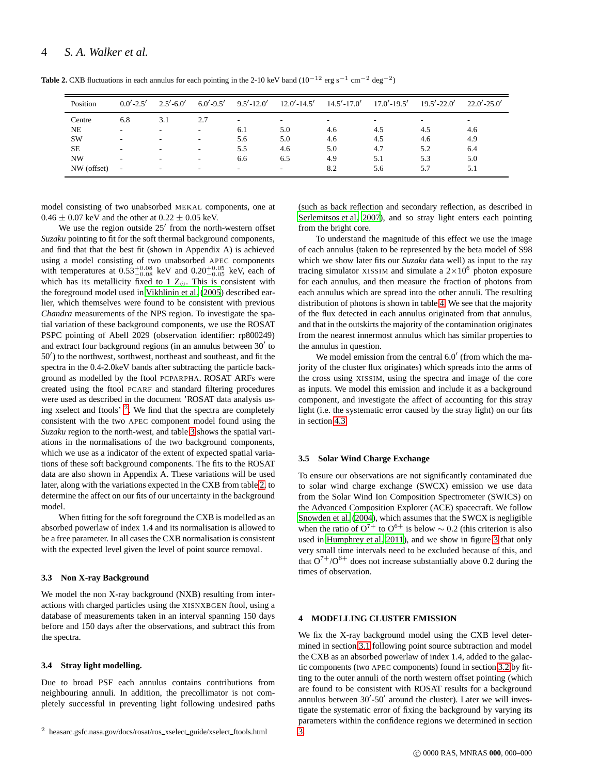| <b>Table 2.</b> CXB fluctuations in each annulus for each pointing in the 2-10 keV band $(10^{-12} \text{ erg s}^{-1} \text{ cm}^{-2} \text{ deg}^{-2})$ |  |  |  |
|----------------------------------------------------------------------------------------------------------------------------------------------------------|--|--|--|
|----------------------------------------------------------------------------------------------------------------------------------------------------------|--|--|--|

<span id="page-3-1"></span>

| Position    | $0.0' - 2.5'$            | $2.5' - 6.0'$            | $6.0' - 9.5'$            | $9.5' - 12.0'$           | $12.0' - 14.5'$          | $14.5' - 17.0'$          | $17.0' - 19.5'$ | $19.5' - 22.0'$ | $22.0' - 25.0'$ |
|-------------|--------------------------|--------------------------|--------------------------|--------------------------|--------------------------|--------------------------|-----------------|-----------------|-----------------|
| Centre      | 6.8                      | 3.1                      | 2.7                      | $\overline{\phantom{a}}$ | $\overline{\phantom{a}}$ | $\overline{\phantom{a}}$ |                 | -               | ۰.              |
| <b>NE</b>   |                          | $\overline{\phantom{a}}$ | $\sim$                   | 6.1                      | 5.0                      | 4.6                      | 4.5             | 4.5             | 4.6             |
| <b>SW</b>   | $\overline{\phantom{a}}$ | $\overline{\phantom{a}}$ | $\sim$                   | 5.6                      | 5.0                      | 4.6                      | 4.5             | 4.6             | 4.9             |
| <b>SE</b>   |                          | $\overline{\phantom{a}}$ | $\overline{\phantom{a}}$ | 5.5                      | 4.6                      | 5.0                      | 4.7             | 5.2             | 6.4             |
| NW          | $\overline{\phantom{a}}$ | $\overline{\phantom{a}}$ | $\sim$                   | 6.6                      | 6.5                      | 4.9                      | 5.1             | 5.3             | 5.0             |
| NW (offset) | ۰                        | $\overline{\phantom{a}}$ | $\overline{\phantom{a}}$ | $\overline{\phantom{a}}$ | $\overline{\phantom{a}}$ | 8.2                      | 5.6             | 5.7             | 5.1             |

model consisting of two unabsorbed MEKAL components, one at  $0.46 \pm 0.07$  keV and the other at  $0.22 \pm 0.05$  keV.

We use the region outside 25' from the north-western offset *Suzaku* pointing to fit for the soft thermal background components, and find that that the best fit (shown in Appendix A) is achieved using a model consisting of two unabsorbed APEC components with temperatures at  $0.53^{+0.08}_{-0.08}$  keV and  $0.20^{+0.05}_{-0.05}$  keV, each of which has its metallicity fixed to 1  $Z_{\odot}$ . This is consistent with the foreground model used in [Vikhlinin et al. \(2005\)](#page-11-9) described earlier, which themselves were found to be consistent with previous *Chandra* measurements of the NPS region. To investigate the spatial variation of these background components, we use the ROSAT PSPC pointing of Abell 2029 (observation identifier: rp800249) and extract four background regions (in an annulus between 30' to 50′ ) to the northwest, sorthwest, northeast and southeast, and fit the spectra in the 0.4-2.0keV bands after subtracting the particle background as modelled by the ftool PCPARPHA. ROSAT ARFs were created using the ftool PCARF and standard filtering procedures were used as described in the document 'ROSAT data analysis us-ing xselect and ftools' <sup>[2](#page-3-2)</sup>. We find that the spectra are completely consistent with the two APEC component model found using the *Suzaku* region to the north-west, and table [3](#page-4-0) shows the spatial variations in the normalisations of the two background components, which we use as a indicator of the extent of expected spatial variations of these soft background components. The fits to the ROSAT data are also shown in Appendix A. These variations will be used later, along with the variations expected in the CXB from table [2,](#page-3-1) to determine the affect on our fits of our uncertainty in the background model.

When fitting for the soft foreground the CXB is modelled as an absorbed powerlaw of index 1.4 and its normalisation is allowed to be a free parameter. In all cases the CXB normalisation is consistent with the expected level given the level of point source removal.

#### **3.3 Non X-ray Background**

We model the non X-ray background (NXB) resulting from interactions with charged particles using the XISNXBGEN ftool, using a database of measurements taken in an interval spanning 150 days before and 150 days after the observations, and subtract this from the spectra.

#### **3.4 Stray light modelling.**

Due to broad PSF each annulus contains contributions from neighbouring annuli. In addition, the precollimator is not completely successful in preventing light following undesired paths (such as back reflection and secondary reflection, as described in [Serlemitsos et al. 2007](#page-11-20)), and so stray light enters each pointing from the bright core.

To understand the magnitude of this effect we use the image of each annulus (taken to be represented by the beta model of S98 which we show later fits our *Suzaku* data well) as input to the ray tracing simulator XISSIM and simulate a  $2 \times 10^6$  photon exposure for each annulus, and then measure the fraction of photons from each annulus which are spread into the other annuli. The resulting distribution of photons is shown in table [4.](#page-4-1) We see that the majority of the flux detected in each annulus originated from that annulus, and that in the outskirts the majority of the contamination originates from the nearest innermost annulus which has similar properties to the annulus in question.

We model emission from the central 6.0' (from which the majority of the cluster flux originates) which spreads into the arms of the cross using XISSIM, using the spectra and image of the core as inputs. We model this emission and include it as a background component, and investigate the affect of accounting for this stray light (i.e. the systematic error caused by the stray light) on our fits in section [4.3.](#page-5-0)

#### <span id="page-3-0"></span>**3.5 Solar Wind Charge Exchange**

To ensure our observations are not significantly contaminated due to solar wind charge exchange (SWCX) emission we use data from the Solar Wind Ion Composition Spectrometer (SWICS) on the Advanced Composition Explorer (ACE) spacecraft. We follow [Snowden et al. \(2004\)](#page-11-21), which assumes that the SWCX is negligible when the ratio of  $O^{7+}$  to  $O^{6+}$  is below ~ 0.2 (this criterion is also used in [Humphrey et al. 2011\)](#page-11-22), and we show in figure [3](#page-5-1) that only very small time intervals need to be excluded because of this, and that  $O^{7+}/O^{6+}$  does not increase substantially above 0.2 during the times of observation.

#### **4 MODELLING CLUSTER EMISSION**

We fix the X-ray background model using the CXB level determined in section [3.1](#page-2-1) following point source subtraction and model the CXB as an absorbed powerlaw of index 1.4, added to the galactic components (two APEC components) found in section [3.2](#page-2-2) by fitting to the outer annuli of the north western offset pointing (which are found to be consistent with ROSAT results for a background annulus between 30′ -50′ around the cluster). Later we will investigate the systematic error of fixing the background by varying its parameters within the confidence regions we determined in section [3.](#page-2-3)

<span id="page-3-2"></span><sup>2</sup> heasarc.gsfc.nasa.gov/docs/rosat/ros xselect guide/xselect ftools.html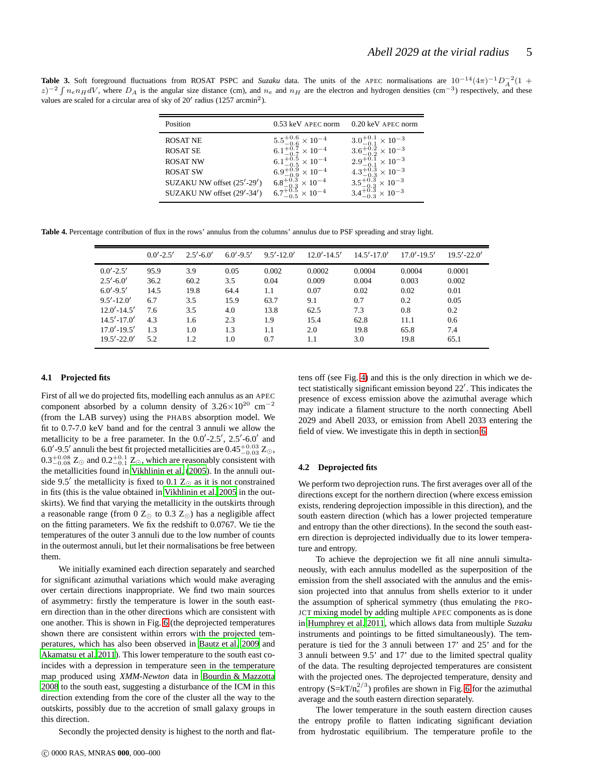<span id="page-4-0"></span>**Table 3.** Soft foreground fluctuations from ROSAT PSPC and *Suzaku* data. The units of the APEC normalisations are  $10^{-14}(4\pi)^{-1}D_A^{-2}(1 +$  $z$ )<sup>-2</sup>  $\int n_e n_H dV$ , where  $D_A$  is the angular size distance (cm), and  $n_e$  and  $n_H$  are the electron and hydrogen densities (cm<sup>-3</sup>) respectively, and these values are scaled for a circular area of sky of 20' radius (1257 arcmin<sup>2</sup>).

| Position                   | $0.53$ keV APEC norm               | 0.20 keV APEC norm                 |
|----------------------------|------------------------------------|------------------------------------|
| <b>ROSAT NE</b>            | $5.5^{+0.6}_{-0.6} \times 10^{-4}$ | $3.0^{+0.1}_{-0.1} \times 10^{-3}$ |
| <b>ROSAT SE</b>            | $6.1^{+0.7}_{-0.7}\times10^{-4}$   | $3.6^{+0.2}_{-0.2} \times 10^{-3}$ |
| <b>ROSAT NW</b>            | $6.1^{+0.5}_{-0.5}\times10^{-4}$   | $2.9^{+0.1}_{-0.1}\times10^{-3}$   |
| <b>ROSAT SW</b>            | $6.9^{+0.9}_{-0.9}\times10^{-4}$   | $4.3^{+0.3}_{-0.3}\times10^{-3}$   |
| SUZAKU NW offset (25'-29') | $6.8^{+0.3}_{-0.3} \times 10^{-4}$ | $3.5^{+0.3}_{-0.3} \times 10^{-3}$ |
| SUZAKU NW offset (29'-34') | $6.7^{+0.5}_{-0.5} \times 10^{-4}$ | $3.4^{+0.3}_{-0.3} \times 10^{-3}$ |

**Table 4.** Percentage contribution of flux in the rows' annulus from the columns' annulus due to PSF spreading and stray light.

<span id="page-4-1"></span>

|                 | $0.0' - 2.5'$ | $2.5' - 6.0'$ | $6.0' - 9.5'$ | $9.5' - 12.0'$ | $12.0' - 14.5'$ | $14.5' - 17.0'$ | $17.0' - 19.5'$ | $19.5' - 22.0'$ |
|-----------------|---------------|---------------|---------------|----------------|-----------------|-----------------|-----------------|-----------------|
| $0.0' - 2.5'$   | 95.9          | 3.9           | 0.05          | 0.002          | 0.0002          | 0.0004          | 0.0004          | 0.0001          |
| $2.5' - 6.0'$   | 36.2          | 60.2          | 3.5           | 0.04           | 0.009           | 0.004           | 0.003           | 0.002           |
| $6.0' - 9.5'$   | 14.5          | 19.8          | 64.4          | 1.1            | 0.07            | 0.02            | 0.02            | 0.01            |
| $9.5' - 12.0'$  | 6.7           | 3.5           | 15.9          | 63.7           | 9.1             | 0.7             | 0.2             | 0.05            |
| $12.0' - 14.5'$ | 7.6           | 3.5           | 4.0           | 13.8           | 62.5            | 7.3             | 0.8             | 0.2             |
| $14.5' - 17.0'$ | 4.3           | 1.6           | 2.3           | 1.9            | 15.4            | 62.8            | 11.1            | 0.6             |
| $17.0' - 19.5'$ | 1.3           | 1.0           | 1.3           | 1.1            | 2.0             | 19.8            | 65.8            | 7.4             |
| $19.5' - 22.0'$ | 5.2           | 1.2           | 1.0           | 0.7            | 1.1             | 3.0             | 19.8            | 65.1            |

#### **4.1 Projected fits**

First of all we do projected fits, modelling each annulus as an APEC component absorbed by a column density of  $3.26\times10^{20}$  cm<sup>-2</sup> (from the LAB survey) using the PHABS absorption model. We fit to 0.7-7.0 keV band and for the central 3 annuli we allow the metallicity to be a free parameter. In the  $0.0'$ -2.5', 2.5'-6.0' and 6.0′ -9.5′ annuli the best fit projected metallicities are  $0.45^{+0.03}_{-0.03}$  Z<sub>☉</sub>,  $0.3^{+0.08}_{-0.08}$  Z<sub>☉</sub> and  $0.2^{+0.1}_{-0.1}$  Z<sub>☉</sub>, which are reasonably consistent with the metallicities found in [Vikhlinin et al. \(2005](#page-11-9)). In the annuli outside 9.5' the metallicity is fixed to 0.1  $Z_{\odot}$  as it is not constrained in fits (this is the value obtained in [Vikhlinin et al. 2005](#page-11-9) in the outskirts). We find that varying the metallicity in the outskirts through a reasonable range (from 0  $Z_{\odot}$  to 0.3  $Z_{\odot}$ ) has a negligible affect on the fitting parameters. We fix the redshift to 0.0767. We tie the temperatures of the outer 3 annuli due to the low number of counts in the outermost annuli, but let their normalisations be free between them.

We initially examined each direction separately and searched for significant azimuthal variations which would make averaging over certain directions inappropriate. We find two main sources of asymmetry: firstly the temperature is lower in the south eastern direction than in the other directions which are consistent with one another. This is shown in Fig. [6](#page-7-1) (the deprojected temperatures shown there are consistent within errors with the projected temperatures, which has also been observed in [Bautz et al. 2009](#page-10-0) and [Akamatsu et al. 2011](#page-10-7)). This lower temperature to the south east coincides with a depression in temperature seen in the temperature map produced using *XMM-Newton* data in [Bourdin & Mazzotta](#page-10-3) [2008](#page-10-3) to the south east, suggesting a disturbance of the ICM in this direction extending from the core of the cluster all the way to the outskirts, possibly due to the accretion of small galaxy groups in this direction.

Secondly the projected density is highest to the north and flat-

tens off (see Fig. [4\)](#page-5-2) and this is the only direction in which we detect statistically significant emission beyond 22′ . This indicates the presence of excess emission above the azimuthal average which may indicate a filament structure to the north connecting Abell 2029 and Abell 2033, or emission from Abell 2033 entering the field of view. We investigate this in depth in section [6.](#page-7-0)

#### **4.2 Deprojected fits**

We perform two deprojection runs. The first averages over all of the directions except for the northern direction (where excess emission exists, rendering deprojection impossible in this direction), and the south eastern direction (which has a lower projected temperature and entropy than the other directions). In the second the south eastern direction is deprojected individually due to its lower temperature and entropy.

To achieve the deprojection we fit all nine annuli simultaneously, with each annulus modelled as the superposition of the emission from the shell associated with the annulus and the emission projected into that annulus from shells exterior to it under the assumption of spherical symmetry (thus emulating the PRO-JCT mixing model by adding multiple APEC components as is done in [Humphrey et al. 2011](#page-11-22), which allows data from multiple *Suzaku* instruments and pointings to be fitted simultaneously). The temperature is tied for the 3 annuli between 17' and 25' and for the 3 annuli between 9.5' and 17' due to the limited spectral quality of the data. The resulting deprojected temperatures are consistent with the projected ones. The deprojected temperature, density and entropy  $(S=kT/n_e^{2/3})$  profiles are shown in Fig. [6](#page-7-1) for the azimuthal average and the south eastern direction separately.

The lower temperature in the south eastern direction causes the entropy profile to flatten indicating significant deviation from hydrostatic equilibrium. The temperature profile to the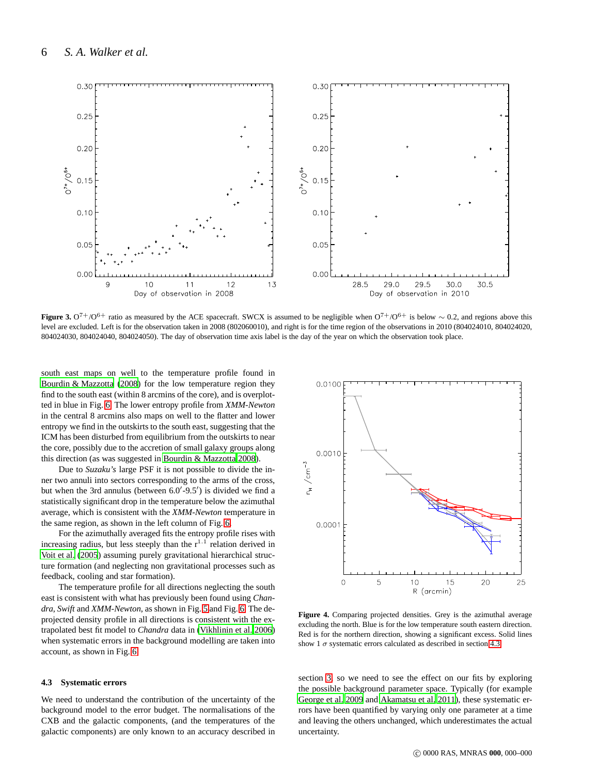

<span id="page-5-1"></span>**Figure 3.** O<sup>7+</sup>/O<sup>6+</sup> ratio as measured by the ACE spacecraft. SWCX is assumed to be negligible when  $O<sup>7+</sup>/O<sup>6+</sup>$  is below ~ 0.2, and regions above this level are excluded. Left is for the observation taken in 2008 (802060010), and right is for the time region of the observations in 2010 (804024010, 804024020, 804024030, 804024040, 804024050). The day of observation time axis label is the day of the year on which the observation took place.

south east maps on well to the temperature profile found in [Bourdin & Mazzotta \(2008\)](#page-10-3) for the low temperature region they find to the south east (within 8 arcmins of the core), and is overplotted in blue in Fig. [6.](#page-7-1) The lower entropy profile from *XMM-Newton* in the central 8 arcmins also maps on well to the flatter and lower entropy we find in the outskirts to the south east, suggesting that the ICM has been disturbed from equilibrium from the outskirts to near the core, possibly due to the accretion of small galaxy groups along this direction (as was suggested in [Bourdin & Mazzotta 2008](#page-10-3)).

Due to *Suzaku's* large PSF it is not possible to divide the inner two annuli into sectors corresponding to the arms of the cross, but when the 3rd annulus (between 6.0'-9.5') is divided we find a statistically significant drop in the temperature below the azimuthal average, which is consistent with the *XMM-Newton* temperature in the same region, as shown in the left column of Fig. [6.](#page-7-1)

For the azimuthally averaged fits the entropy profile rises with increasing radius, but less steeply than the  $r^{1.1}$  relation derived in [Voit et al. \(2005](#page-11-23)) assuming purely gravitational hierarchical structure formation (and neglecting non gravitational processes such as feedback, cooling and star formation).

The temperature profile for all directions neglecting the south east is consistent with what has previously been found using *Chandra*, *Swift* and *XMM-Newton*, as shown in Fig. [5](#page-6-0) and Fig. [6.](#page-7-1) The deprojected density profile in all directions is consistent with the extrapolated best fit model to *Chandra* data in [\(Vikhlinin et al. 2006](#page-11-10)) when systematic errors in the background modelling are taken into account, as shown in Fig. [6.](#page-7-1)

#### <span id="page-5-0"></span>**4.3 Systematic errors**

We need to understand the contribution of the uncertainty of the background model to the error budget. The normalisations of the CXB and the galactic components, (and the temperatures of the galactic components) are only known to an accuracy described in



<span id="page-5-2"></span>**Figure 4.** Comparing projected densities. Grey is the azimuthal average excluding the north. Blue is for the low temperature south eastern direction. Red is for the northern direction, showing a significant excess. Solid lines show 1  $\sigma$  systematic errors calculated as described in section [4.3.](#page-5-0)

section [3,](#page-2-3) so we need to see the effect on our fits by exploring the possible background parameter space. Typically (for example [George et al. 2009](#page-11-0) and [Akamatsu et al. 2011](#page-10-7)), these systematic errors have been quantified by varying only one parameter at a time and leaving the others unchanged, which underestimates the actual uncertainty.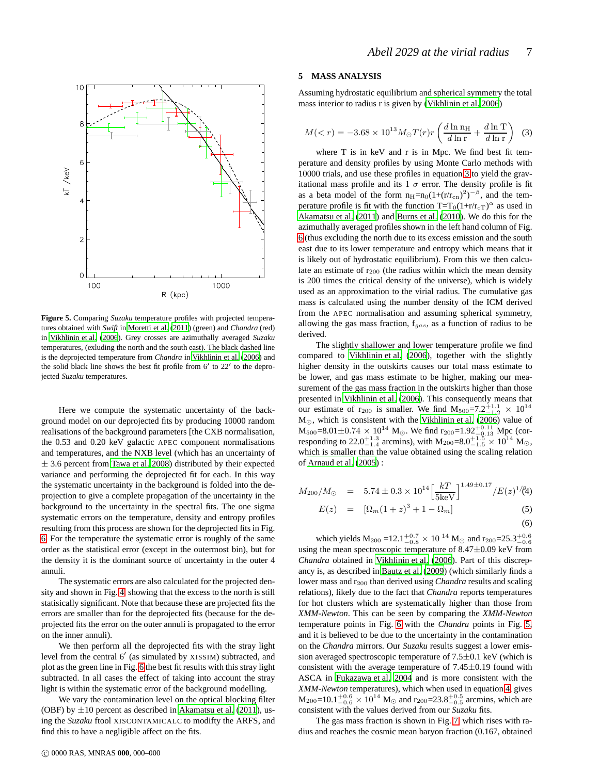

<span id="page-6-0"></span>**Figure 5.** Comparing *Suzaku* temperature profiles with projected temperatures obtained with *Swift* in [Moretti et al. \(2011\)](#page-11-24) (green) and *Chandra* (red) in [Vikhlinin et al. \(2006\)](#page-11-10). Grey crosses are azimuthally averaged *Suzaku* temperatures, (exluding the north and the south east). The black dashed line is the deprojected temperature from *Chandra* in [Vikhlinin et al. \(2006\)](#page-11-10) and the solid black line shows the best fit profile from 6′ to 22′ to the deprojected *Suzaku* temperatures.

Here we compute the systematic uncertainty of the background model on our deprojected fits by producing 10000 random realisations of the background parameters [the CXB normalisation, the 0.53 and 0.20 keV galactic APEC component normalisations and temperatures, and the NXB level (which has an uncertainty of  $\pm$  3.6 percent from [Tawa et al. 2008](#page-11-25)) distributed by their expected variance and performing the deprojected fit for each. In this way the systematic uncertainty in the background is folded into the deprojection to give a complete propagation of the uncertainty in the background to the uncertainty in the spectral fits. The one sigma systematic errors on the temperature, density and entropy profiles resulting from this process are shown for the deprojected fits in Fig. [6.](#page-7-1) For the temperature the systematic error is roughly of the same order as the statistical error (except in the outermost bin), but for the density it is the dominant source of uncertainty in the outer 4 annuli.

The systematic errors are also calculated for the projected density and shown in Fig. [4,](#page-5-2) showing that the excess to the north is still statisically significant. Note that because these are projected fits the errors are smaller than for the deprojected fits (because for the deprojected fits the error on the outer annuli is propagated to the error on the inner annuli).

We then perform all the deprojected fits with the stray light level from the central 6′ (as simulated by XISSIM) subtracted, and plot as the green line in Fig. [6](#page-7-1) the best fit results with this stray light subtracted. In all cases the effect of taking into account the stray light is within the systematic error of the background modelling.

We vary the contamination level on the optical blocking filter (OBF) by  $\pm 10$  percent as described in [Akamatsu et al.](#page-10-7) [\(2011](#page-10-7)), using the *Suzaku* ftool XISCONTAMICALC to modifty the ARFS, and find this to have a negligible affect on the fits.

## <span id="page-6-3"></span>**5 MASS ANALYSIS**

Assuming hydrostatic equilibrium and spherical symmetry the total mass interior to radius r is given by [\(Vikhlinin et al. 2006](#page-11-10))

<span id="page-6-1"></span>
$$
M(
$$

where T is in keV and r is in Mpc. We find best fit temperature and density profiles by using Monte Carlo methods with 10000 trials, and use these profiles in equation [3](#page-6-1) to yield the gravitational mass profile and its 1  $\sigma$  error. The density profile is fit as a beta model of the form  $n_{\text{H}}=n_0(1+(r/r_{\text{cn}})^2)^{-\beta}$ , and the temperature profile is fit with the function  $T=T_0(1+r/r_{\text{cT}})^{\alpha}$  as used in [Akamatsu et al. \(2011\)](#page-10-7) and [Burns et al. \(2010\)](#page-10-8). We do this for the azimuthally averaged profiles shown in the left hand column of Fig. [6](#page-7-1) (thus excluding the north due to its excess emission and the south east due to its lower temperature and entropy which means that it is likely out of hydrostatic equilibrium). From this we then calculate an estimate of  $r_{200}$  (the radius within which the mean density is 200 times the critical density of the universe), which is widely used as an approximation to the virial radius. The cumulative gas mass is calculated using the number density of the ICM derived from the APEC normalisation and assuming spherical symmetry, allowing the gas mass fraction,  $f_{gas}$ , as a function of radius to be derived.

The slightly shallower and lower temperature profile we find compared to [Vikhlinin et al.](#page-11-10) [\(2006](#page-11-10)), together with the slightly higher density in the outskirts causes our total mass estimate to be lower, and gas mass estimate to be higher, making our measurement of the gas mass fraction in the outskirts higher than those presented in [Vikhlinin et al. \(2006\)](#page-11-10). This consequently means that our estimate of r<sub>200</sub> is smaller. We find  $M_{500} = 7.2_{-1.2}^{+1.1} \times 10^{14}$ M⊙, which is consistent with the [Vikhlinin et al. \(2006](#page-11-10)) value of  $M_{500} = 8.01 \pm 0.74 \times 10^{14}$  M<sub>o</sub>. We find r<sub>200</sub>=1.92<sup>+0.11</sup> Mpc (corresponding to 22.0<sup>+1.3</sup> arcmins), with  $M_{200} = 8.0^{+1.5}_{-1.5} \times 10^{14}$  M<sub>O</sub>, which is smaller than the value obtained using the scaling relation of [Arnaud et al.](#page-10-9) [\(2005](#page-10-9)) :

<span id="page-6-2"></span>
$$
M_{200}/M_{\odot} = 5.74 \pm 0.3 \times 10^{14} \left[ \frac{kT}{5 \text{keV}} \right]^{1.49 \pm 0.17} / E(z)^{1/2} (4)
$$
  
\n
$$
E(z) = [\Omega_m (1+z)^3 + 1 - \Omega_m]
$$
 (5)

$$
= \left[ \Omega_m (1+z)^3 + 1 - \Omega_m \right] \tag{5}
$$

$$
(6)
$$

which yields  $M_{200}$  =12.1<sup>+0.7</sup>  $\times$  10<sup>-14</sup>  $M_{\odot}$  and r<sub>200</sub>=25.3<sup>+0.6</sup> using the mean spectroscopic temperature of  $8.47\pm0.09$  keV from *Chandra* obtained in [Vikhlinin et al. \(2006](#page-11-10)). Part of this discrepancy is, as described in [Bautz et al. \(2009\)](#page-10-0) (which similarly finds a lower mass and r<sup>200</sup> than derived using *Chandra* results and scaling relations), likely due to the fact that *Chandra* reports temperatures for hot clusters which are systematically higher than those from *XMM-Newton*. This can be seen by comparing the *XMM-Newton* temperature points in Fig. [6](#page-7-1) with the *Chandra* points in Fig. [5,](#page-6-0) and it is believed to be due to the uncertainty in the contamination on the *Chandra* mirrors. Our *Suzaku* results suggest a lower emission averaged spectroscopic temperature of  $7.5\pm0.1$  keV (which is consistent with the average temperature of  $7.45\pm0.19$  found with ASCA in [Fukazawa et al. 2004](#page-10-10) and is more consistent with the *XMM-Newton* temperatures), which when used in equation [4,](#page-6-2) gives  $M_{200}$ =10.1<sup>+0.6</sup>  $\times$  10<sup>14</sup>  $M_{\odot}$  and r<sub>200</sub>=23.8<sup>+0.5</sup> arcmins, which are consistent with the values derived from our *Suzaku* fits.

The gas mass fraction is shown in Fig. [7,](#page-8-0) which rises with radius and reaches the cosmic mean baryon fraction (0.167, obtained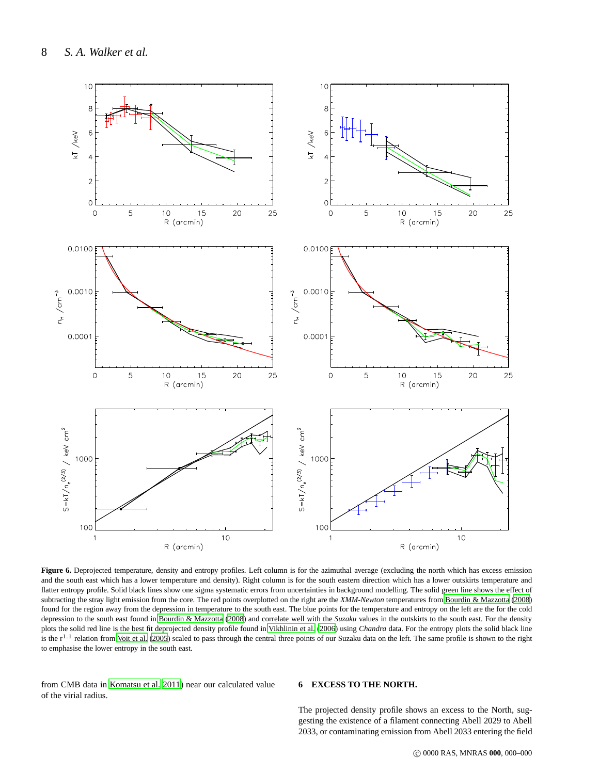

<span id="page-7-1"></span>Figure 6. Deprojected temperature, density and entropy profiles. Left column is for the azimuthal average (excluding the north which has excess emission and the south east which has a lower temperature and density). Right column is for the south eastern direction which has a lower outskirts temperature and flatter entropy profile. Solid black lines show one sigma systematic errors from uncertainties in background modelling. The solid green line shows the effect of subtracting the stray light emission from the core. The red points overplotted on the right are the *XMM-Newton* temperatures from [Bourdin & Mazzotta](#page-10-3) [\(2008](#page-10-3)) found for the region away from the depression in temperature to the south east. The blue points for the temperature and entropy on the left are the for the cold depression to the south east found in [Bourdin & Mazzotta \(2008](#page-10-3)) and correlate well with the *Suzaku* values in the outskirts to the south east. For the density plots the solid red line is the best fit deprojected density profile found in [Vikhlinin et al. \(2006\)](#page-11-10) using *Chandra* data. For the entropy plots the solid black line is the  $r^{1.1}$  relation from [Voit et al.](#page-11-23) [\(2005](#page-11-23)) scaled to pass through the central three points of our Suzaku data on the left. The same profile is shown to the right to emphasise the lower entropy in the south east.

from CMB data in [Komatsu et al. 2011](#page-11-26)) near our calculated value of the virial radius.

## <span id="page-7-0"></span>**6 EXCESS TO THE NORTH.**

The projected density profile shows an excess to the North, suggesting the existence of a filament connecting Abell 2029 to Abell 2033, or contaminating emission from Abell 2033 entering the field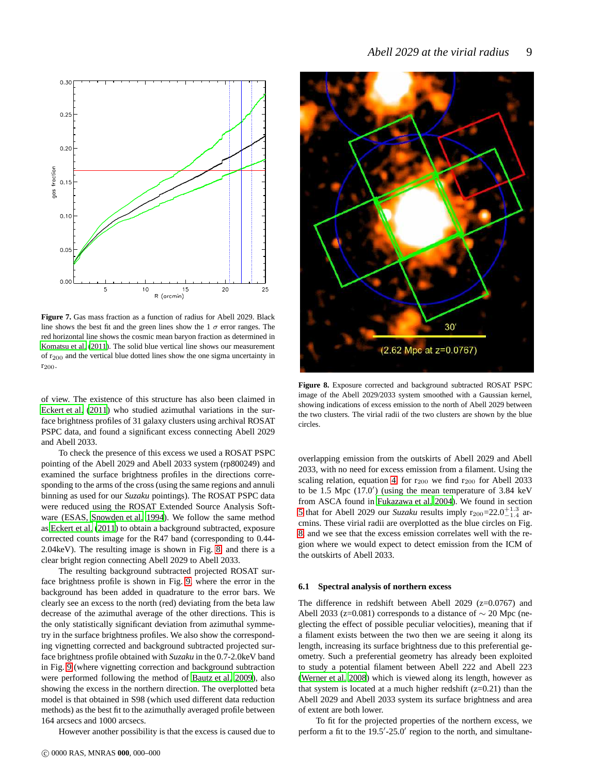

<span id="page-8-0"></span>**Figure 7.** Gas mass fraction as a function of radius for Abell 2029. Black line shows the best fit and the green lines show the 1  $\sigma$  error ranges. The red horizontal line shows the cosmic mean baryon fraction as determined in [Komatsu et al. \(2011\)](#page-11-26). The solid blue vertical line shows our measurement of r200 and the vertical blue dotted lines show the one sigma uncertainty in r200.

of view. The existence of this structure has also been claimed in [Eckert et al.](#page-10-11) [\(2011](#page-10-11)) who studied azimuthal variations in the surface brightness profiles of 31 galaxy clusters using archival ROSAT PSPC data, and found a significant excess connecting Abell 2029 and Abell 2033.

To check the presence of this excess we used a ROSAT PSPC pointing of the Abell 2029 and Abell 2033 system (rp800249) and examined the surface brightness profiles in the directions corresponding to the arms of the cross (using the same regions and annuli binning as used for our *Suzaku* pointings). The ROSAT PSPC data were reduced using the ROSAT Extended Source Analysis Software (ESAS, [Snowden et al. 1994\)](#page-11-27). We follow the same method as [Eckert et al. \(2011\)](#page-10-12) to obtain a background subtracted, exposure corrected counts image for the R47 band (corresponding to 0.44- 2.04keV). The resulting image is shown in Fig. [8,](#page-8-1) and there is a clear bright region connecting Abell 2029 to Abell 2033.

The resulting background subtracted projected ROSAT surface brightness profile is shown in Fig. [9,](#page-9-0) where the error in the background has been added in quadrature to the error bars. We clearly see an excess to the north (red) deviating from the beta law decrease of the azimuthal average of the other directions. This is the only statistically significant deviation from azimuthal symmetry in the surface brightness profiles. We also show the corresponding vignetting corrected and background subtracted projected surface brightness profile obtained with *Suzaku* in the 0.7-2.0keV band in Fig. [9](#page-9-0) (where vignetting correction and background subtraction were performed following the method of [Bautz et al. 2009](#page-10-0)), also showing the excess in the northern direction. The overplotted beta model is that obtained in S98 (which used different data reduction methods) as the best fit to the azimuthally averaged profile between 164 arcsecs and 1000 arcsecs.

However another possibility is that the excess is caused due to



<span id="page-8-1"></span>**Figure 8.** Exposure corrected and background subtracted ROSAT PSPC image of the Abell 2029/2033 system smoothed with a Gaussian kernel, showing indications of excess emission to the north of Abell 2029 between the two clusters. The virial radii of the two clusters are shown by the blue circles.

overlapping emission from the outskirts of Abell 2029 and Abell 2033, with no need for excess emission from a filament. Using the scaling relation, equation [4,](#page-6-2) for  $r_{200}$  we find  $r_{200}$  for Abell 2033 to be 1.5 Mpc (17.0′ ) (using the mean temperature of 3.84 keV from ASCA found in [Fukazawa et al. 2004](#page-10-10)). We found in section [5](#page-6-3) that for Abell 2029 our *Suzaku* results imply  $r_{200} = 22.0^{+1.3}_{-1.4}$  arcmins. These virial radii are overplotted as the blue circles on Fig. [8,](#page-8-1) and we see that the excess emission correlates well with the region where we would expect to detect emission from the ICM of the outskirts of Abell 2033.

#### **6.1 Spectral analysis of northern excess**

The difference in redshift between Abell 2029 (z=0.0767) and Abell 2033 (z=0.081) corresponds to a distance of  $\sim$  20 Mpc (neglecting the effect of possible peculiar velocities), meaning that if a filament exists between the two then we are seeing it along its length, increasing its surface brightness due to this preferential geometry. Such a preferential geometry has already been exploited to study a potential filament between Abell 222 and Abell 223 [\(Werner et al. 2008\)](#page-11-28) which is viewed along its length, however as that system is located at a much higher redshift  $(z=0.21)$  than the Abell 2029 and Abell 2033 system its surface brightness and area of extent are both lower.

To fit for the projected properties of the northern excess, we perform a fit to the 19.5'-25.0' region to the north, and simultane-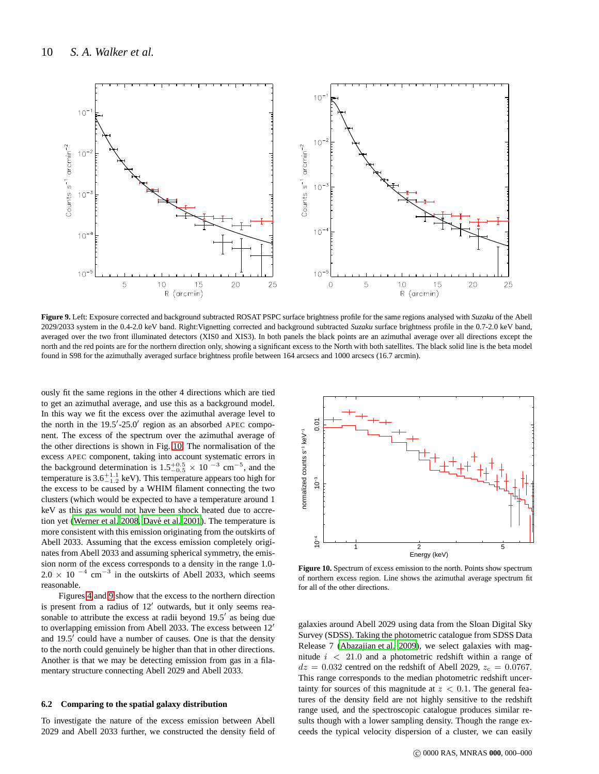

<span id="page-9-0"></span>**Figure 9.** Left: Exposure corrected and background subtracted ROSAT PSPC surface brightness profile for the same regions analysed with *Suzaku* of the Abell 2029/2033 system in the 0.4-2.0 keV band. Right:Vignetting corrected and background subtracted *Suzaku* surface brightness profile in the 0.7-2.0 keV band, averaged over the two front illuminated detectors (XIS0 and XIS3). In both panels the black points are an azimuthal average over all directions except the north and the red points are for the northern direction only, showing a significant excess to the North with both satellites. The black solid line is the beta model found in S98 for the azimuthally averaged surface brightness profile between 164 arcsecs and 1000 arcsecs (16.7 arcmin).

ously fit the same regions in the other 4 directions which are tied to get an azimuthal average, and use this as a background model. In this way we fit the excess over the azimuthal average level to the north in the 19.5′ -25.0′ region as an absorbed APEC component. The excess of the spectrum over the azimuthal average of the other directions is shown in Fig. [10.](#page-9-1) The normalisation of the excess APEC component, taking into account systematic errors in the background determination is  $1.5^{+0.5}_{-0.5} \times 10^{-3}$  cm<sup>-5</sup>, and the temperature is  $3.6^{+1.1}_{-1.2}$  keV). This temperature appears too high for the excess to be caused by a WHIM filament connecting the two clusters (which would be expected to have a temperature around 1 keV as this gas would not have been shock heated due to accre-tion yet [\(Werner et al. 2008](#page-11-28), Davé et al. 2001). The temperature is more consistent with this emission originating from the outskirts of Abell 2033. Assuming that the excess emission completely originates from Abell 2033 and assuming spherical symmetry, the emission norm of the excess corresponds to a density in the range 1.0-  $2.0 \times 10^{-4}$  cm<sup>-3</sup> in the outskirts of Abell 2033, which seems reasonable.

Figures [4](#page-5-2) and [9](#page-9-0) show that the excess to the northern direction is present from a radius of 12′ outwards, but it only seems reasonable to attribute the excess at radii beyond 19.5' as being due to overlapping emission from Abell 2033. The excess between 12′ and  $19.5<sup>7</sup>$  could have a number of causes. One is that the density to the north could genuinely be higher than that in other directions. Another is that we may be detecting emission from gas in a filamentary structure connecting Abell 2029 and Abell 2033.

#### **6.2 Comparing to the spatial galaxy distribution**

To investigate the nature of the excess emission between Abell 2029 and Abell 2033 further, we constructed the density field of



<span id="page-9-1"></span>**Figure 10.** Spectrum of excess emission to the north. Points show spectrum of northern excess region. Line shows the azimuthal average spectrum fit for all of the other directions.

galaxies around Abell 2029 using data from the Sloan Digital Sky Survey (SDSS). Taking the photometric catalogue from SDSS Data Release 7 [\(Abazajian et al. 2009\)](#page-10-14), we select galaxies with magnitude  $i < 21.0$  and a photometric redshift within a range of  $dz = 0.032$  centred on the redshift of Abell 2029,  $z_c = 0.0767$ . This range corresponds to the median photometric redshift uncertainty for sources of this magnitude at  $z < 0.1$ . The general features of the density field are not highly sensitive to the redshift range used, and the spectroscopic catalogue produces similar results though with a lower sampling density. Though the range exceeds the typical velocity dispersion of a cluster, we can easily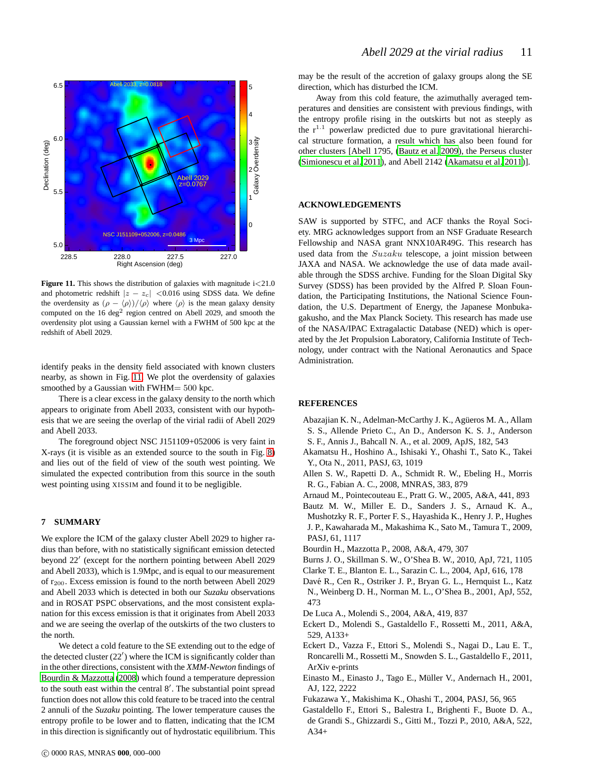

<span id="page-10-15"></span>**Figure 11.** This shows the distribution of galaxies with magnitude  $i < 21.0$ and photometric redshift  $|z - z_c|$  <0.016 using SDSS data. We define the overdensity as  $(\rho - \langle \rho \rangle)/\langle \rho \rangle$  where  $\langle \rho \rangle$  is the mean galaxy density computed on the  $16 \text{ deg}^2$  region centred on Abell 2029, and smooth the overdensity plot using a Gaussian kernel with a FWHM of 500 kpc at the redshift of Abell 2029.

identify peaks in the density field associated with known clusters nearby, as shown in Fig. [11.](#page-10-15) We plot the overdensity of galaxies smoothed by a Gaussian with FWHM= 500 kpc.

There is a clear excess in the galaxy density to the north which appears to originate from Abell 2033, consistent with our hypothesis that we are seeing the overlap of the virial radii of Abell 2029 and Abell 2033.

The foreground object NSC J151109+052006 is very faint in X-rays (it is visible as an extended source to the south in Fig. [8\)](#page-8-1) and lies out of the field of view of the south west pointing. We simulated the expected contribution from this source in the south west pointing using XISSIM and found it to be negligible.

## **7 SUMMARY**

We explore the ICM of the galaxy cluster Abell 2029 to higher radius than before, with no statistically significant emission detected beyond 22′ (except for the northern pointing between Abell 2029 and Abell 2033), which is 1.9Mpc, and is equal to our measurement of r200. Excess emission is found to the north between Abell 2029 and Abell 2033 which is detected in both our *Suzaku* observations and in ROSAT PSPC observations, and the most consistent explanation for this excess emission is that it originates from Abell 2033 and we are seeing the overlap of the outskirts of the two clusters to the north.

We detect a cold feature to the SE extending out to the edge of the detected cluster (22′ ) where the ICM is significantly colder than in the other directions, consistent with the *XMM-Newton* findings of [Bourdin & Mazzotta \(2008](#page-10-3)) which found a temperature depression to the south east within the central 8′ . The substantial point spread function does not allow this cold feature to be traced into the central 2 annuli of the *Suzaku* pointing. The lower temperature causes the entropy profile to be lower and to flatten, indicating that the ICM in this direction is significantly out of hydrostatic equilibrium. This may be the result of the accretion of galaxy groups along the SE direction, which has disturbed the ICM.

Away from this cold feature, the azimuthally averaged temperatures and densities are consistent with previous findings, with the entropy profile rising in the outskirts but not as steeply as the  $r^{1.1}$  powerlaw predicted due to pure gravitational hierarchical structure formation, a result which has also been found for other clusters [Abell 1795, [\(Bautz et al. 2009\)](#page-10-0), the Perseus cluster [\(Simionescu et al. 2011\)](#page-11-4), and Abell 2142 [\(Akamatsu et al. 2011\)](#page-10-7)].

#### **ACKNOWLEDGEMENTS**

SAW is supported by STFC, and ACF thanks the Royal Society. MRG acknowledges support from an NSF Graduate Research Fellowship and NASA grant NNX10AR49G. This research has used data from the  $Suzaku$  telescope, a joint mission between JAXA and NASA. We acknowledge the use of data made available through the SDSS archive. Funding for the Sloan Digital Sky Survey (SDSS) has been provided by the Alfred P. Sloan Foundation, the Participating Institutions, the National Science Foundation, the U.S. Department of Energy, the Japanese Monbukagakusho, and the Max Planck Society. This research has made use of the NASA/IPAC Extragalactic Database (NED) which is operated by the Jet Propulsion Laboratory, California Institute of Technology, under contract with the National Aeronautics and Space Administration.

#### **REFERENCES**

- <span id="page-10-14"></span>Abazajian K. N., Adelman-McCarthy J. K., Agüeros M. A., Allam S. S., Allende Prieto C., An D., Anderson K. S. J., Anderson S. F., Annis J., Bahcall N. A., et al. 2009, ApJS, 182, 543
- <span id="page-10-7"></span>Akamatsu H., Hoshino A., Ishisaki Y., Ohashi T., Sato K., Takei Y., Ota N., 2011, PASJ, 63, 1019
- <span id="page-10-1"></span>Allen S. W., Rapetti D. A., Schmidt R. W., Ebeling H., Morris R. G., Fabian A. C., 2008, MNRAS, 383, 879
- <span id="page-10-9"></span>Arnaud M., Pointecouteau E., Pratt G. W., 2005, A&A, 441, 893
- <span id="page-10-0"></span>Bautz M. W., Miller E. D., Sanders J. S., Arnaud K. A., Mushotzky R. F., Porter F. S., Hayashida K., Henry J. P., Hughes J. P., Kawaharada M., Makashima K., Sato M., Tamura T., 2009, PASJ, 61, 1117
- <span id="page-10-3"></span>Bourdin H., Mazzotta P., 2008, A&A, 479, 307
- <span id="page-10-8"></span>Burns J. O., Skillman S. W., O'Shea B. W., 2010, ApJ, 721, 1105
- <span id="page-10-2"></span>Clarke T. E., Blanton E. L., Sarazin C. L., 2004, ApJ, 616, 178
- <span id="page-10-13"></span>Davé R., Cen R., Ostriker J. P., Bryan G. L., Hernquist L., Katz N., Weinberg D. H., Norman M. L., O'Shea B., 2001, ApJ, 552, 473
- <span id="page-10-6"></span>De Luca A., Molendi S., 2004, A&A, 419, 837
- <span id="page-10-12"></span>Eckert D., Molendi S., Gastaldello F., Rossetti M., 2011, A&A, 529, A133+
- <span id="page-10-11"></span>Eckert D., Vazza F., Ettori S., Molendi S., Nagai D., Lau E. T., Roncarelli M., Rossetti M., Snowden S. L., Gastaldello F., 2011, ArXiv e-prints
- <span id="page-10-4"></span>Einasto M., Einasto J., Tago E., Müller V., Andernach H., 2001, AJ, 122, 2222
- <span id="page-10-10"></span>Fukazawa Y., Makishima K., Ohashi T., 2004, PASJ, 56, 965
- <span id="page-10-5"></span>Gastaldello F., Ettori S., Balestra I., Brighenti F., Buote D. A., de Grandi S., Ghizzardi S., Gitti M., Tozzi P., 2010, A&A, 522,  $A34+$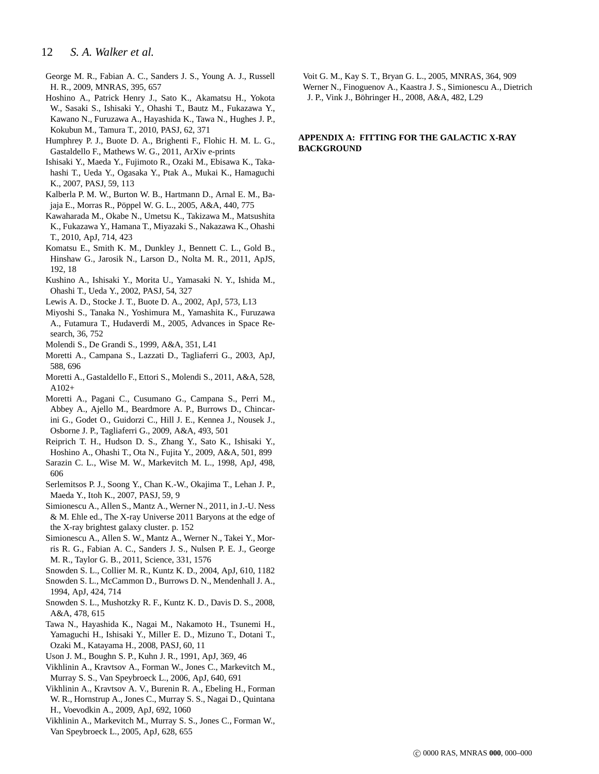## 12 *S. A. Walker et al.*

- <span id="page-11-0"></span>George M. R., Fabian A. C., Sanders J. S., Young A. J., Russell H. R., 2009, MNRAS, 395, 657
- <span id="page-11-2"></span>Hoshino A., Patrick Henry J., Sato K., Akamatsu H., Yokota W., Sasaki S., Ishisaki Y., Ohashi T., Bautz M., Fukazawa Y., Kawano N., Furuzawa A., Hayashida K., Tawa N., Hughes J. P., Kokubun M., Tamura T., 2010, PASJ, 62, 371
- <span id="page-11-22"></span>Humphrey P. J., Buote D. A., Brighenti F., Flohic H. M. L. G., Gastaldello F., Mathews W. G., 2011, ArXiv e-prints
- <span id="page-11-13"></span>Ishisaki Y., Maeda Y., Fujimoto R., Ozaki M., Ebisawa K., Takahashi T., Ueda Y., Ogasaka Y., Ptak A., Mukai K., Hamaguchi K., 2007, PASJ, 59, 113
- <span id="page-11-19"></span>Kalberla P. M. W., Burton W. B., Hartmann D., Arnal E. M., Bajaja E., Morras R., Pöppel W. G. L., 2005, A&A, 440, 775
- <span id="page-11-3"></span>Kawaharada M., Okabe N., Umetsu K., Takizawa M., Matsushita K., Fukazawa Y., Hamana T., Miyazaki S., Nakazawa K., Ohashi T., 2010, ApJ, 714, 423
- <span id="page-11-26"></span>Komatsu E., Smith K. M., Dunkley J., Bennett C. L., Gold B., Hinshaw G., Jarosik N., Larson D., Nolta M. R., 2011, ApJS, 192, 18
- <span id="page-11-16"></span>Kushino A., Ishisaki Y., Morita U., Yamasaki N. Y., Ishida M., Ohashi T., Ueda Y., 2002, PASJ, 54, 327
- <span id="page-11-8"></span>Lewis A. D., Stocke J. T., Buote D. A., 2002, ApJ, 573, L13
- <span id="page-11-14"></span>Miyoshi S., Tanaka N., Yoshimura M., Yamashita K., Furuzawa A., Futamura T., Hudaverdi M., 2005, Advances in Space Research, 36, 752
- <span id="page-11-7"></span>Molendi S., De Grandi S., 1999, A&A, 351, L41
- <span id="page-11-17"></span>Moretti A., Campana S., Lazzati D., Tagliaferri G., 2003, ApJ, 588, 696
- <span id="page-11-24"></span>Moretti A., Gastaldello F., Ettori S., Molendi S., 2011, A&A, 528, A102+
- <span id="page-11-15"></span>Moretti A., Pagani C., Cusumano G., Campana S., Perri M., Abbey A., Ajello M., Beardmore A. P., Burrows D., Chincarini G., Godet O., Guidorzi C., Hill J. E., Kennea J., Nousek J., Osborne J. P., Tagliaferri G., 2009, A&A, 493, 501
- <span id="page-11-1"></span>Reiprich T. H., Hudson D. S., Zhang Y., Sato K., Ishisaki Y.,
- <span id="page-11-6"></span>Hoshino A., Ohashi T., Ota N., Fujita Y., 2009, A&A, 501, 899 Sarazin C. L., Wise M. W., Markevitch M. L., 1998, ApJ, 498, 606
- <span id="page-11-20"></span>Serlemitsos P. J., Soong Y., Chan K.-W., Okajima T., Lehan J. P., Maeda Y., Itoh K., 2007, PASJ, 59, 9
- <span id="page-11-18"></span>Simionescu A., Allen S., Mantz A., Werner N., 2011, in J.-U. Ness & M. Ehle ed., The X-ray Universe 2011 Baryons at the edge of the X-ray brightest galaxy cluster. p. 152
- <span id="page-11-4"></span>Simionescu A., Allen S. W., Mantz A., Werner N., Takei Y., Morris R. G., Fabian A. C., Sanders J. S., Nulsen P. E. J., George M. R., Taylor G. B., 2011, Science, 331, 1576
- <span id="page-11-21"></span>Snowden S. L., Collier M. R., Kuntz K. D., 2004, ApJ, 610, 1182
- <span id="page-11-27"></span>Snowden S. L., McCammon D., Burrows D. N., Mendenhall J. A., 1994, ApJ, 424, 714
- <span id="page-11-11"></span>Snowden S. L., Mushotzky R. F., Kuntz K. D., Davis D. S., 2008, A&A, 478, 615
- <span id="page-11-25"></span>Tawa N., Hayashida K., Nagai M., Nakamoto H., Tsunemi H., Yamaguchi H., Ishisaki Y., Miller E. D., Mizuno T., Dotani T., Ozaki M., Katayama H., 2008, PASJ, 60, 11
- <span id="page-11-12"></span>Uson J. M., Boughn S. P., Kuhn J. R., 1991, ApJ, 369, 46
- <span id="page-11-10"></span>Vikhlinin A., Kravtsov A., Forman W., Jones C., Markevitch M., Murray S. S., Van Speybroeck L., 2006, ApJ, 640, 691
- <span id="page-11-5"></span>Vikhlinin A., Kravtsov A. V., Burenin R. A., Ebeling H., Forman W. R., Hornstrup A., Jones C., Murray S. S., Nagai D., Quintana H., Voevodkin A., 2009, ApJ, 692, 1060
- <span id="page-11-9"></span>Vikhlinin A., Markevitch M., Murray S. S., Jones C., Forman W., Van Speybroeck L., 2005, ApJ, 628, 655

<span id="page-11-28"></span><span id="page-11-23"></span>Voit G. M., Kay S. T., Bryan G. L., 2005, MNRAS, 364, 909 Werner N., Finoguenov A., Kaastra J. S., Simionescu A., Dietrich J. P., Vink J., Böhringer H., 2008, A&A, 482, L29

## **APPENDIX A: FITTING FOR THE GALACTIC X-RAY BACKGROUND**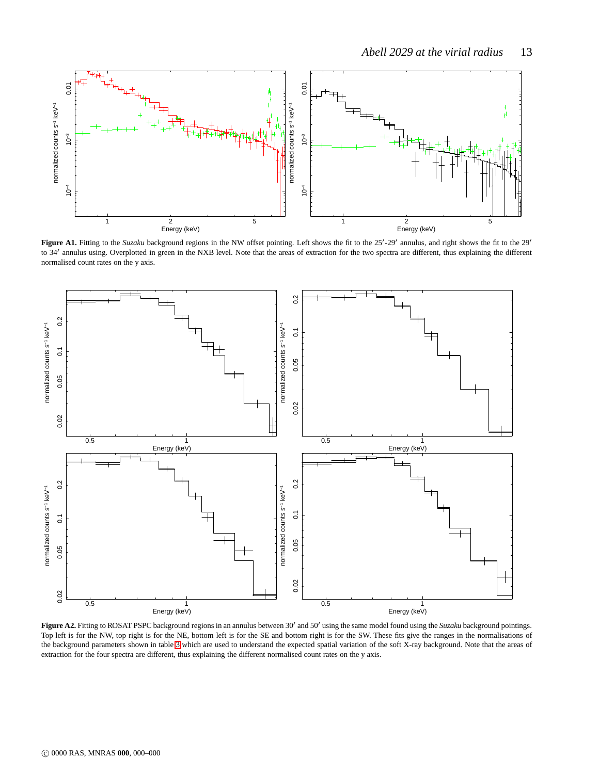

Figure A1. Fitting to the *Suzaku* background regions in the NW offset pointing. Left shows the fit to the 25<sup>'</sup>-29' annulus, and right shows the fit to the 29' to 34' annulus using. Overplotted in green in the NXB level. Note that the areas of extraction for the two spectra are different, thus explaining the different normalised count rates on the y axis.



Figure A2. Fitting to ROSAT PSPC background regions in an annulus between 30<sup>'</sup> and 50' using the same model found using the *Suzaku* background pointings. Top left is for the NW, top right is for the NE, bottom left is for the SE and bottom right is for the SW. These fits give the ranges in the normalisations of the background parameters shown in table [3](#page-4-0) which are used to understand the expected spatial variation of the soft X-ray background. Note that the areas of extraction for the four spectra are different, thus explaining the different normalised count rates on the y axis.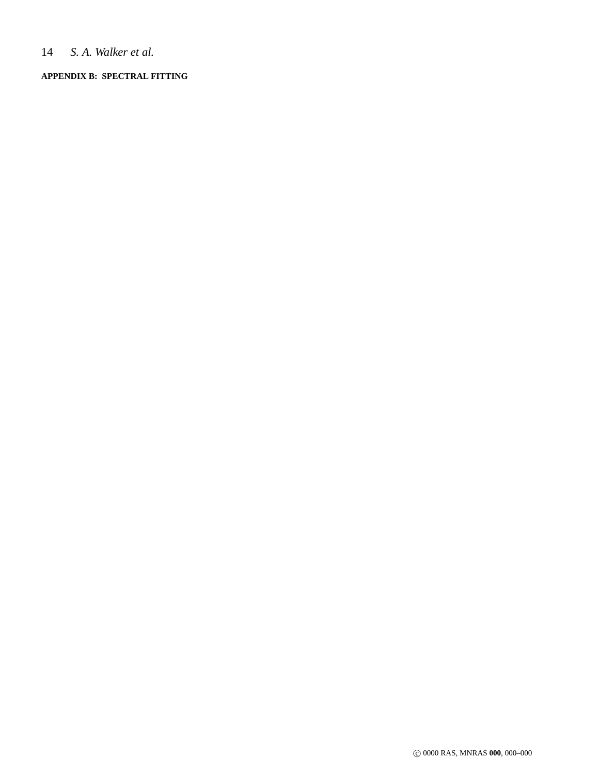## 14 *S. A. Walker et al.*

## **APPENDIX B: SPECTRAL FITTING**